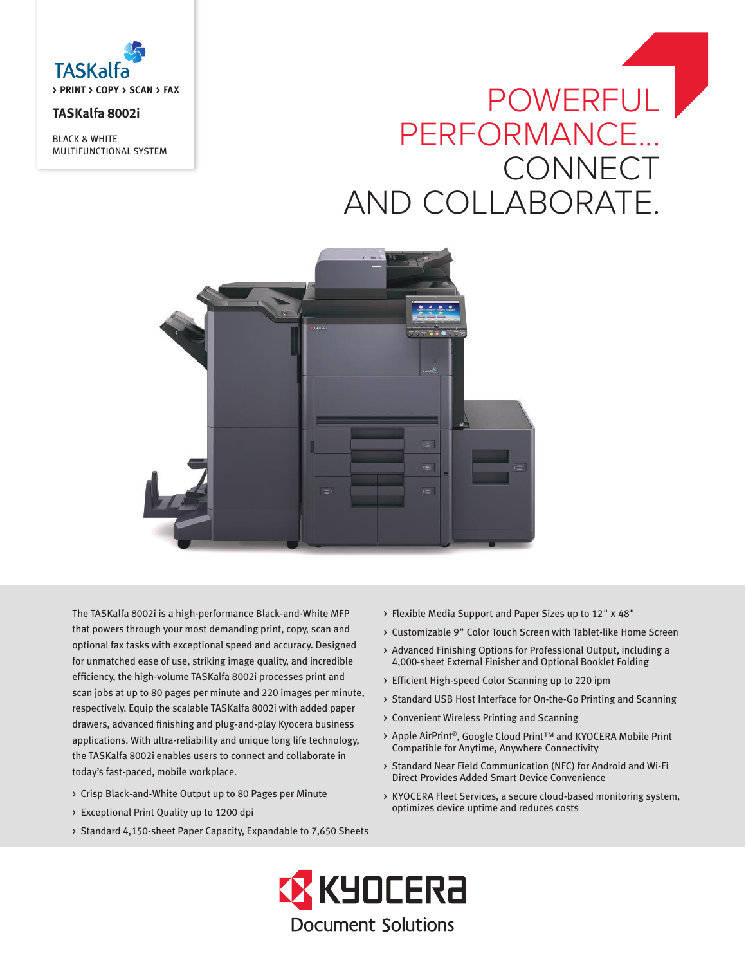

# **TASKalfa 8002i**

BLACK & WHITE MULTIFUNCTIONAL SYSTEM

# POWERFUL PERFORMANCE... CONNECT AND COLLABORATE.



The TASKalfa 8002i is a high-performance Black-and-White MFP that powers through your most demanding print, copy, scan and optional fax tasks with exceptional speed and accuracy. Designed for unmatched ease of use, striking image quality, and incredible efficiency, the high-volume TASKalfa 8002i processes print and scan jobs at up to 80 pages per minute and 220 images per minute, respectively. Equip the scalable TASKalfa 8002i with added paper drawers, advanced finishing and plug-and-play Kyocera business applications. With ultra-reliability and unique long life technology, the TASKalfa 8002i enables users to connect and collaborate in today's fast-paced, mobile workplace.

- > Crisp Black-and-White Output up to 80 Pages per Minute
- > Exceptional Print Quality up to 1200 dpi
- > Standard 4,150-sheet Paper Capacity, Expandable to 7,650 Sheets
- > Flexible Media Support and Paper Sizes up to 12" x 48"
- > Customizable 9" Color Touch Screen with Tablet-like Home Screen
- > Advanced Finishing Options for Professional Output, including a 4,000-sheet External Finisher and Optional Booklet Folding
- > Efficient High-speed Color Scanning up to 220 ipm
- > Standard USB Host Interface for On-the-Go Printing and Scanning
- > Convenient Wireless Printing and Scanning
- > Apple AirPrint®, Google Cloud Print™ and KYOCERA Mobile Print Compatible for Anytime, Anywhere Connectivity
- > Standard Near Field Communication (NFC) for Android and Wi-Fi Direct Provides Added Smart Device Convenience
- > KYOCERA Fleet Services, a secure cloud-based monitoring system, optimizes device uptime and reduces costs